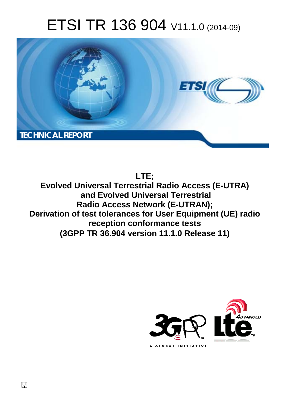# ETSI TR 136 904 V11.1.0 (2014-09)



**LTE;**

**Evolved Universal Terrestrial Radio Access (E-UTRA) and Evolved Universal Terrestrial Radio Access Network (E-UTRAN); Derivation of test tolerances for User Equipment (UE) radio reception conformance tests (3GPP TR 36.904 version 11.1.0 Release 11)** 



 $\Box$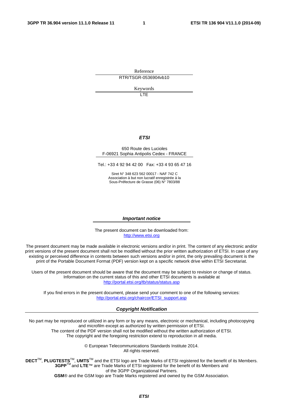Reference RTR/TSGR-0536904vb10

Keywords

 $\overline{1}$ 

#### *ETSI*

#### 650 Route des Lucioles F-06921 Sophia Antipolis Cedex - FRANCE

Tel.: +33 4 92 94 42 00 Fax: +33 4 93 65 47 16

Siret N° 348 623 562 00017 - NAF 742 C Association à but non lucratif enregistrée à la Sous-Préfecture de Grasse (06) N° 7803/88

#### *Important notice*

The present document can be downloaded from: [http://www.etsi.org](http://www.etsi.org/)

The present document may be made available in electronic versions and/or in print. The content of any electronic and/or print versions of the present document shall not be modified without the prior written authorization of ETSI. In case of any existing or perceived difference in contents between such versions and/or in print, the only prevailing document is the print of the Portable Document Format (PDF) version kept on a specific network drive within ETSI Secretariat.

Users of the present document should be aware that the document may be subject to revision or change of status. Information on the current status of this and other ETSI documents is available at <http://portal.etsi.org/tb/status/status.asp>

If you find errors in the present document, please send your comment to one of the following services: [http://portal.etsi.org/chaircor/ETSI\\_support.asp](http://portal.etsi.org/chaircor/ETSI_support.asp)

#### *Copyright Notification*

No part may be reproduced or utilized in any form or by any means, electronic or mechanical, including photocopying and microfilm except as authorized by written permission of ETSI.

The content of the PDF version shall not be modified without the written authorization of ETSI. The copyright and the foregoing restriction extend to reproduction in all media.

> © European Telecommunications Standards Institute 2014. All rights reserved.

**DECT**TM, **PLUGTESTS**TM, **UMTS**TM and the ETSI logo are Trade Marks of ETSI registered for the benefit of its Members. **3GPP**TM and **LTE**™ are Trade Marks of ETSI registered for the benefit of its Members and of the 3GPP Organizational Partners.

**GSM**® and the GSM logo are Trade Marks registered and owned by the GSM Association.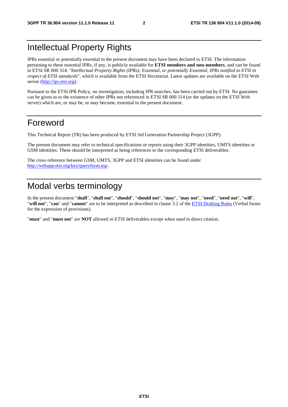## Intellectual Property Rights

IPRs essential or potentially essential to the present document may have been declared to ETSI. The information pertaining to these essential IPRs, if any, is publicly available for **ETSI members and non-members**, and can be found in ETSI SR 000 314: *"Intellectual Property Rights (IPRs); Essential, or potentially Essential, IPRs notified to ETSI in respect of ETSI standards"*, which is available from the ETSI Secretariat. Latest updates are available on the ETSI Web server [\(http://ipr.etsi.org](http://webapp.etsi.org/IPR/home.asp)).

Pursuant to the ETSI IPR Policy, no investigation, including IPR searches, has been carried out by ETSI. No guarantee can be given as to the existence of other IPRs not referenced in ETSI SR 000 314 (or the updates on the ETSI Web server) which are, or may be, or may become, essential to the present document.

### Foreword

This Technical Report (TR) has been produced by ETSI 3rd Generation Partnership Project (3GPP).

The present document may refer to technical specifications or reports using their 3GPP identities, UMTS identities or GSM identities. These should be interpreted as being references to the corresponding ETSI deliverables.

The cross reference between GSM, UMTS, 3GPP and ETSI identities can be found under [http://webapp.etsi.org/key/queryform.asp.](http://webapp.etsi.org/key/queryform.asp)

## Modal verbs terminology

In the present document "**shall**", "**shall not**", "**should**", "**should not**", "**may**", "**may not**", "**need**", "**need not**", "**will**", "**will not**", "**can**" and "**cannot**" are to be interpreted as described in clause 3.2 of the [ETSI Drafting Rules](http://portal.etsi.org/Help/editHelp!/Howtostart/ETSIDraftingRules.aspx) (Verbal forms for the expression of provisions).

"**must**" and "**must not**" are **NOT** allowed in ETSI deliverables except when used in direct citation.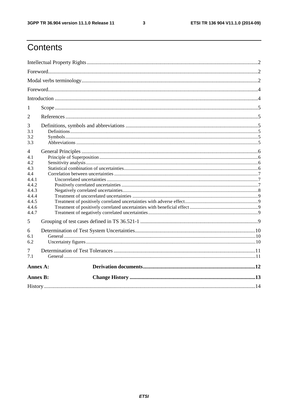$\mathbf{3}$ 

## Contents

| 1                                                                                            |  |  |  |  |  |  |  |
|----------------------------------------------------------------------------------------------|--|--|--|--|--|--|--|
| $\overline{2}$                                                                               |  |  |  |  |  |  |  |
| 3<br>3.1<br>3.2<br>3.3                                                                       |  |  |  |  |  |  |  |
| 4<br>4.1<br>4.2<br>4.3<br>4.4<br>4.4.1<br>4.4.2<br>4.4.3<br>4.4.4<br>4.4.5<br>4.4.6<br>4.4.7 |  |  |  |  |  |  |  |
| 5                                                                                            |  |  |  |  |  |  |  |
| 6<br>6.1<br>6.2                                                                              |  |  |  |  |  |  |  |
| 7<br>7.1                                                                                     |  |  |  |  |  |  |  |
| Annex A:                                                                                     |  |  |  |  |  |  |  |
| <b>Annex B:</b>                                                                              |  |  |  |  |  |  |  |
|                                                                                              |  |  |  |  |  |  |  |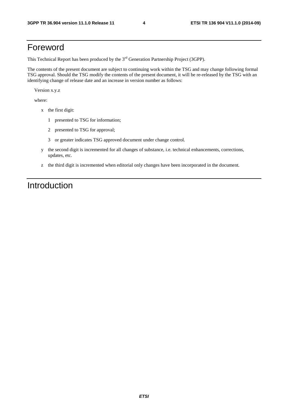### Foreword

This Technical Report has been produced by the  $3<sup>rd</sup>$  Generation Partnership Project (3GPP).

The contents of the present document are subject to continuing work within the TSG and may change following formal TSG approval. Should the TSG modify the contents of the present document, it will be re-released by the TSG with an identifying change of release date and an increase in version number as follows:

Version x.y.z

where:

- x the first digit:
	- 1 presented to TSG for information;
	- 2 presented to TSG for approval;
	- 3 or greater indicates TSG approved document under change control.
- y the second digit is incremented for all changes of substance, i.e. technical enhancements, corrections, updates, etc.
- z the third digit is incremented when editorial only changes have been incorporated in the document.

## Introduction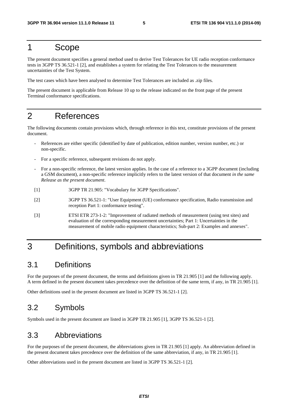#### 1 Scope

The present document specifies a general method used to derive Test Tolerances for UE radio reception conformance tests in 3GPP TS 36.521-1 [2], and establishes a system for relating the Test Tolerances to the measurement uncertainties of the Test System.

The test cases which have been analysed to determine Test Tolerances are included as .zip files.

The present document is applicable from Release 10 up to the release indicated on the front page of the present Terminal conformance specifications.

## 2 References

The following documents contain provisions which, through reference in this text, constitute provisions of the present document.

- References are either specific (identified by date of publication, edition number, version number, etc.) or non-specific.
- For a specific reference, subsequent revisions do not apply.
- For a non-specific reference, the latest version applies. In the case of a reference to a 3GPP document (including a GSM document), a non-specific reference implicitly refers to the latest version of that document *in the same Release as the present document*.
- [1] 3GPP TR 21.905: "Vocabulary for 3GPP Specifications".
- [2] 3GPP TS 36.521-1: "User Equipment (UE) conformance specification, Radio transmission and reception Part 1: conformance testing".
- [3] ETSI ETR 273-1-2: "Improvement of radiated methods of measurement (using test sites) and evaluation of the corresponding measurement uncertainties; Part 1: Uncertainties in the measurement of mobile radio equipment characteristics; Sub-part 2: Examples and annexes".

## 3 Definitions, symbols and abbreviations

#### 3.1 Definitions

For the purposes of the present document, the terms and definitions given in TR 21.905 [1] and the following apply. A term defined in the present document takes precedence over the definition of the same term, if any, in TR 21.905 [1].

Other definitions used in the present document are listed in 3GPP TS 36.521-1 [2].

### 3.2 Symbols

Symbols used in the present document are listed in 3GPP TR 21.905 [1], 3GPP TS 36.521-1 [2].

#### 3.3 Abbreviations

For the purposes of the present document, the abbreviations given in TR 21.905 [1] apply. An abbreviation defined in the present document takes precedence over the definition of the same abbreviation, if any, in TR 21.905 [1].

Other abbreviations used in the present document are listed in 3GPP TS 36.521-1 [2].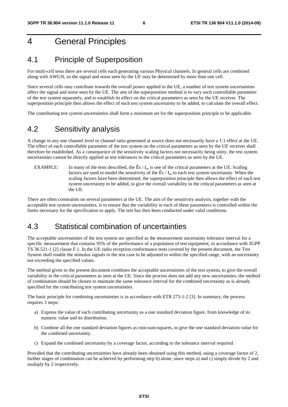## 4 General Principles

#### 4.1 Principle of Superposition

For multi-cell tests there are several cells each generating various Physical channels. In general cells are combined along with AWGN, so the signal and noise seen by the UE may be determined by more than one cell.

Since several cells may contribute towards the overall power applied to the UE, a number of test system uncertainties affect the signal and noise seen by the UE. The aim of the superposition method is to vary each controllable parameter of the test system separately, and to establish its effect on the critical parameters as seen by the UE receiver. The superposition principle then allows the effect of each test system uncertainty to be added, to calculate the overall effect.

The contributing test system uncertainties shall form a minimum set for the superposition principle to be applicable.

#### 4.2 Sensitivity analysis

A change in any one channel level or channel ratio generated at source does not necessarily have a 1:1 effect at the UE. The effect of each controllable parameter of the test system on the critical parameters as seen by the UE receiver shall therefore be established. As a consequence of the sensitivity scaling factors not necessarily being unity, the test system uncertainties cannot be directly applied as test tolerances to the critical parameters as seen by the UE.

EXAMPLE: In many of the tests described, the  $\hat{E} s / I_{\text{or}}$  is one of the critical parameters at the UE. Scaling factors are used to model the sensitivity of the  $\hat{E} s / I_{\text{ot}}$  to each test system uncertainty. When the scaling factors have been determined, the superposition principle then allows the effect of each test system uncertainty to be added, to give the overall variability in the critical parameters as seen at the UE.

There are often constraints on several parameters at the UE. The aim of the sensitivity analysis, together with the acceptable test system uncertainties, is to ensure that the variability in each of these parameters is controlled within the limits necessary for the specification to apply. The test has then been conducted under valid conditions.

#### 4.3 Statistical combination of uncertainties

The acceptable uncertainties of the test system are specified as the measurement uncertainty tolerance interval for a specific measurement that contains 95% of the performance of a population of test equipment, in accordance with 3GPP TS 36.521-1 [2] clause F.1. In the UE radio reception conformance tests covered by the present document, the Test System shall enable the stimulus signals in the test case to be adjusted to within the specified range, with an uncertainty not exceeding the specified values.

The method given in the present document combines the acceptable uncertainties of the test system, to give the overall variability in the critical parameters as seen at the UE. Since the process does not add any new uncertainties, the method of combination should be chosen to maintain the same tolerance interval for the combined uncertainty as is already specified for the contributing test system uncertainties.

The basic principle for combining uncertainties is in accordance with ETR 273-1-2 [3]. In summary, the process requires 3 steps:

- a) Express the value of each contributing uncertainty as a one standard deviation figure, from knowledge of its numeric value and its distribution.
- b) Combine all the one standard deviation figures as root-sum-squares, to give the one standard deviation value for the combined uncertainty.
- c) Expand the combined uncertainty by a coverage factor, according to the tolerance interval required.

Provided that the contributing uncertainties have already been obtained using this method, using a coverage factor of 2, further stages of combination can be achieved by performing step b) alone, since steps a) and c) simply divide by 2 and multiply by 2 respectively.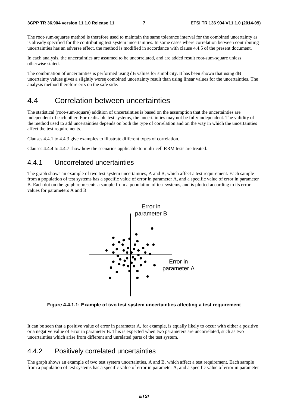The root-sum-squares method is therefore used to maintain the same tolerance interval for the combined uncertainty as is already specified for the contributing test system uncertainties. In some cases where correlation between contributing uncertainties has an adverse effect, the method is modified in accordance with clause 4.4.5 of the present document.

In each analysis, the uncertainties are assumed to be uncorrelated, and are added result root-sum-square unless otherwise stated.

The combination of uncertainties is performed using dB values for simplicity. It has been shown that using dB uncertainty values gives a slightly worse combined uncertainty result than using linear values for the uncertainties. The analysis method therefore errs on the safe side.

#### 4.4 Correlation between uncertainties

The statistical (root-sum-square) addition of uncertainties is based on the assumption that the uncertainties are independent of each other. For realisable test systems, the uncertainties may not be fully independent. The validity of the method used to add uncertainties depends on both the type of correlation and on the way in which the uncertainties affect the test requirements.

Clauses 4.4.1 to 4.4.3 give examples to illustrate different types of correlation.

Clauses 4.4.4 to 4.4.7 show how the scenarios applicable to multi-cell RRM tests are treated.

#### 4.4.1 Uncorrelated uncertainties

The graph shows an example of two test system uncertainties, A and B, which affect a test requirement. Each sample from a population of test systems has a specific value of error in parameter A, and a specific value of error in parameter B. Each dot on the graph represents a sample from a population of test systems, and is plotted according to its error values for parameters A and B.



**Figure 4.4.1.1: Example of two test system uncertainties affecting a test requirement** 

It can be seen that a positive value of error in parameter A, for example, is equally likely to occur with either a positive or a negative value of error in parameter B. This is expected when two parameters are uncorrelated, such as two uncertainties which arise from different and unrelated parts of the test system.

#### 4.4.2 Positively correlated uncertainties

The graph shows an example of two test system uncertainties, A and B, which affect a test requirement. Each sample from a population of test systems has a specific value of error in parameter A, and a specific value of error in parameter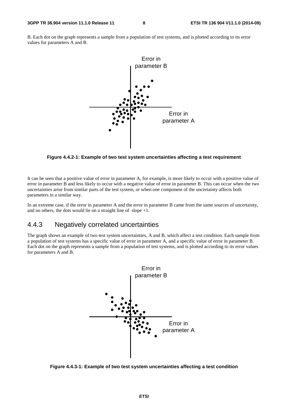B. Each dot on the graph represents a sample from a population of test systems, and is plotted according to its error values for parameters A and B.



**Figure 4.4.2-1: Example of two test system uncertainties affecting a test requirement** 

It can be seen that a positive value of error in parameter A, for example, is more likely to occur with a positive value of error in parameter B and less likely to occur with a negative value of error in parameter B. This can occur when the two uncertainties arise from similar parts of the test system, or when one component of the uncertainty affects both parameters in a similar way.

In an extreme case, if the error in parameter A and the error in parameter B came from the same sources of uncertainty, and no others, the dots would lie on a straight line of slope  $+1$ .

#### 4.4.3 Negatively correlated uncertainties

The graph shows an example of two test system uncertainties, A and B, which affect a test condition. Each sample from a population of test systems has a specific value of error in parameter A, and a specific value of error in parameter B. Each dot on the graph represents a sample from a population of test systems, and is plotted according to its error values for parameters A and B.



**Figure 4.4.3-1: Example of two test system uncertainties affecting a test condition**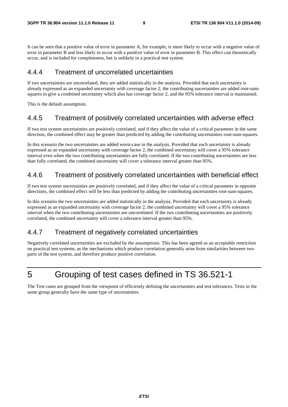It can be seen that a positive value of error in parameter A, for example, is more likely to occur with a negative value of error in parameter B and less likely to occur with a positive value of error in parameter B. This effect can theoretically occur, and is included for completeness, but is unlikely in a practical test system.

#### 4.4.4 Treatment of uncorrelated uncertainties

If two uncertainties are uncorrelated, they are added statistically in the analysis. Provided that each uncertainty is already expressed as an expanded uncertainty with coverage factor 2, the contributing uncertainties are added root-sumsquares to give a combined uncertainty which also has coverage factor 2, and the 95% tolerance interval is maintained.

This is the default assumption.

#### 4.4.5 Treatment of positively correlated uncertainties with adverse effect

If two test system uncertainties are positively correlated, and if they affect the value of a critical parameter in the same direction, the combined effect may be greater than predicted by adding the contributing uncertainties root-sum-squares.

In this scenario the two uncertainties are added worst-case in the analysis. Provided that each uncertainty is already expressed as an expanded uncertainty with coverage factor 2, the combined uncertainty will cover a 95% tolerance interval even when the two contributing uncertainties are fully correlated. If the two contributing uncertainties are less than fully correlated, the combined uncertainty will cover a tolerance interval greater than 95%.

#### 4.4.6 Treatment of positively correlated uncertainties with beneficial effect

If two test system uncertainties are positively correlated, and if they affect the value of a critical parameter in opposite directions, the combined effect will be less than predicted by adding the contributing uncertainties root-sum-squares.

In this scenario the two uncertainties are added statistically in the analysis. Provided that each uncertainty is already expressed as an expanded uncertainty with coverage factor 2, the combined uncertainty will cover a 95% tolerance interval when the two contributing uncertainties are uncorrelated. If the two contributing uncertainties are positively correlated, the combined uncertainty will cover a tolerance interval greater than 95%.

#### 4.4.7 Treatment of negatively correlated uncertainties

Negatively correlated uncertainties are excluded by the assumptions. This has been agreed as an acceptable restriction on practical test systems, as the mechanisms which produce correlation generally arise from similarities between two parts of the test system, and therefore produce positive correlation.

## 5 Grouping of test cases defined in TS 36.521-1

The Test cases are grouped from the viewpoint of efficiently defining the uncertainties and test tolerances. Tests in the same group generally have the same type of uncertainties.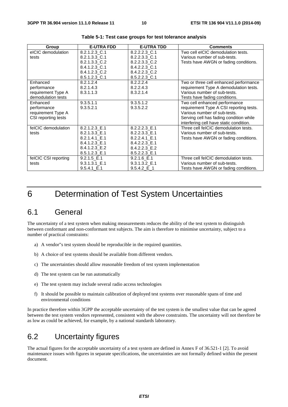| Group                | <b>E-UTRA FDD</b> | <b>E-UTRA TDD</b> | <b>Comments</b>                         |
|----------------------|-------------------|-------------------|-----------------------------------------|
| eICIC demodulation   | 8.2.1.2.3 C.1     | 8.2.2.2.3 C.1     | Two cell eICIC demodulation tests.      |
| tests                | 8.2.1.3.3 C.1     | 8.2.2.3.3 C.1     | Various number of sub-tests.            |
|                      | 8.2.1.3.3 C.2     | 8.2.2.3.3 C.2     | Tests have AWGN or fading conditions.   |
|                      | 8.4.1.2.3 C.1     | 8.4.2.2.3 C.1     |                                         |
|                      | 8.4.1.2.3 C.2     | 8.4.2.2.3 C.2     |                                         |
|                      | 8.5.1.2.3 C.1     | 8.5.2.2.3 C.1     |                                         |
| Enhanced             | 8.2.1.2.4         | 8.2.2.2.4         | Two or three cell enhanced performance  |
| performance          | 8.2.1.4.3         | 8.2.2.4.3         | requirement Type A demodulation tests.  |
| requirement Type A   | 8.3.1.1.3         | 8.3.2.1.4         | Various number of sub-tests.            |
| demodulation tests   |                   |                   | Tests have fading conditions.           |
| Enhanced             | 9.3.5.1.1         | 9.3.5.1.2         | Two cell enhanced performance           |
| performance          | 9.3.5.2.1         | 9.3.5.2.2         | requirement Type A CSI reporting tests. |
| requirement Type A   |                   |                   | Various number of sub-tests.            |
| CSI reporting tests  |                   |                   | Serving cell has fading condition while |
|                      |                   |                   | interfering cell have static condition. |
| felCIC demodulation  | 8.2.1.2.3 E.1     | 8.2.2.2.3 E.1     | Three cell felCIC demodulation tests.   |
| tests                | 8.2.1.3.3 E.1     | 8.2.2.3.3 E.1     | Various number of sub-tests.            |
|                      | 8.2.1.4.1 E.1     | 8.2.2.4.1 E.1     | Tests have AWGN or fading conditions.   |
|                      | 8.4.1.2.3 E.1     | 8.4.2.2.3 E.1     |                                         |
|                      | 8.4.1.2.3 E.2     | 8.4.2.2.3 E.2     |                                         |
|                      | 8.5.1.2.3 E.1     | 8.5.2.2.3 E.1     |                                         |
| felCIC CSI reporting | $9.2.1.5$ E.1     | $9.2.1.6$ E.1     | Three cell felCIC demodulation tests.   |
| tests                | 9.3.1.3.1 E.1     | 9.3.1.3.2 E.1     | Various number of sub-tests.            |
|                      | $9.5.4.1$ E.1     | 9.5.4.2 E1        | Tests have AWGN or fading conditions.   |

**Table 5-1: Test case groups for test tolerance analysis** 

## 6 Determination of Test System Uncertainties

#### 6.1 General

The uncertainty of a test system when making measurements reduces the ability of the test system to distinguish between conformant and non-conformant test subjects. The aim is therefore to minimise uncertainty, subject to a number of practical constraints:

- a) A vendor"s test system should be reproducible in the required quantities.
- b) A choice of test systems should be available from different vendors.
- c) The uncertainties should allow reasonable freedom of test system implementation
- d) The test system can be run automatically
- e) The test system may include several radio access technologies
- f) It should be possible to maintain calibration of deployed test systems over reasonable spans of time and environmental conditions

In practice therefore within 3GPP the acceptable uncertainty of the test system is the smallest value that can be agreed between the test system vendors represented, consistent with the above constraints. The uncertainty will not therefore be as low as could be achieved, for example, by a national standards laboratory.

#### 6.2 Uncertainty figures

The actual figures for the acceptable uncertainty of a test system are defined in Annex F of 36.521-1 [2]. To avoid maintenance issues with figures in separate specifications, the uncertainties are not formally defined within the present document.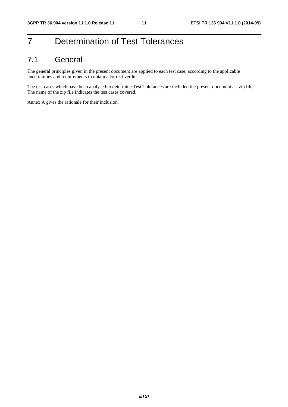## 7 Determination of Test Tolerances

### 7.1 General

The general principles given in the present document are applied to each test case, according to the applicable uncertainties and requirements to obtain a correct verdict.

The test cases which have been analysed to determine Test Tolerances are included the present document as .zip files. The name of the zip file indicates the test cases covered.

Annex A gives the rationale for their inclusion.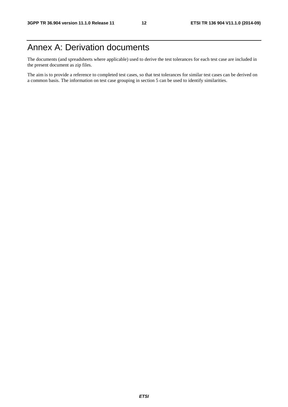## Annex A: Derivation documents

The documents (and spreadsheets where applicable) used to derive the test tolerances for each test case are included in the present document as zip files.

The aim is to provide a reference to completed test cases, so that test tolerances for similar test cases can be derived on a common basis. The information on test case grouping in section 5 can be used to identify similarities.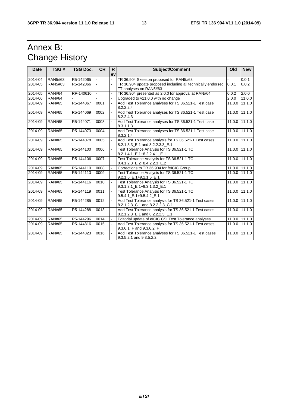## Annex B: Change History

| <b>Date</b> | TSG#          | <b>TSG Doc.</b> | <b>CR</b> | R. | <b>Subject/Comment</b>                                                                    | Old    | <b>New</b>      |
|-------------|---------------|-----------------|-----------|----|-------------------------------------------------------------------------------------------|--------|-----------------|
|             |               |                 |           | ev |                                                                                           |        |                 |
| 2014-04     | RAN5#63       | R5-142065       |           |    | TR 36.904 Skeleton proposed for RAN5#63                                                   |        | 0.0.1           |
| 2014-05     | RAN5#63       | R5-142066       |           |    | TR 36.904 update proposed including all technically endorsed<br>TT analyses on RAN5#63    | 0.0.1  | 0.0.2           |
| 2014-05     | <b>RAN#64</b> | RP-140610       |           |    | TR 36.904 presented as 2.0.0 for approval at RAN#64                                       | 0.0.2  | 2.0.0           |
| 2014-06     | <b>RAN#64</b> |                 |           |    | Upgraded to v11.0.0 with no change                                                        | 2.0.0  | 11.0.0          |
| 2014-09     | <b>RAN#65</b> | R5-144067       | 0001      |    | Add Test Tolerance analyses for TS 36.521-1 Test case<br>8.2.2.2.4                        |        | 11.0.0 11.1.0   |
| 2014-09     | <b>RAN#65</b> | R5-144069       | 0002      |    | Add Test Tolerance analyses for TS 36.521-1 Test case<br>8.2.2.4.3                        |        | 11.0.0 111.1.0  |
| 2014-09     | <b>RAN#65</b> | R5-144071       | 0003      |    | Add Test Tolerance analyses for TS 36.521-1 Test case<br>8.3.1.1.3                        |        | 11.0.0 11.1.0   |
| 2014-09     | <b>RAN#65</b> | R5-144073       | 0004      |    | Add Test Tolerance analyses for TS 36.521-1 Test case<br>8.3.2.1.4                        |        | 11.0.0 111.1.0  |
| 2014-09     | <b>RAN#65</b> | R5-144078       | 0005      |    | Add Test Tolerance analysis for TS 36.521-1 Test cases<br>8.2.1.3.3 E.1 and 8.2.2.3.3 E.1 |        | 11.0.0 111.1.0  |
| 2014-09     | <b>RAN#65</b> | R5-144100       | 0006      |    | Test Tolerance Analysis for TS 36.521-1 TC<br>8.2.1.4.1 E.1+8.2.2.4.1 E.1                 |        | 11.0.0 11.1.0   |
| 2014-09     | <b>RAN#65</b> | R5-144106       | 0007      |    | Test Tolerance Analysis for TS 36.521-1 TC<br>8.4.1.2.3_E.2+8.4.2.2.3_E.2                 |        | 11.0.0 11.1.0   |
| 2014-09     | <b>RAN#65</b> | R5-144110       | 0008      |    | Corrections to TR 36.904 for felCIC Group                                                 |        | 11.0.0 11.1.0   |
| 2014-09     | <b>RAN#65</b> | R5-144113       | 0009      |    | Test Tolerance Analysis for TS 36.521-1 TC<br>9.2.1.5 E.1+9.2.1.6 E.1                     |        | 11.0.0 111.1.0  |
| 2014-09     | <b>RAN#65</b> | R5-144116       | 0010      |    | Test Tolerance Analysis for TS 36.521-1 TC<br>$9.3.1.3.1$ $E.1+9.3.1.3.2$ $E.1$           |        | 11.0.0 11.1.0   |
| 2014-09     | <b>RAN#65</b> | R5-144119       | 0011      |    | Test Tolerance Analysis for TS 36.521-1 TC<br>9.5.4.1 E.1+9.5.4.2 E.1                     |        | 11.0.0 11.1.0   |
| 2014-09     | <b>RAN#65</b> | R5-144285       | 0012      |    | Add Test Tolerance analysis for TS 36.521-1 Test cases<br>8.2.1.2.3_C.1 and 8.2.2.2.3_C.1 |        | $11.00$ $11.10$ |
| 2014-09     | <b>RAN#65</b> | R5-144288       | 0013      |    | Add Test Tolerance analysis for TS 36.521-1 Test cases<br>8.2.1.2.3_E.1 and 8.2.2.2.3_E.1 |        | 11.0.0 111.1.0  |
| 2014-09     | <b>RAN#65</b> | R5-144296       | 0014      |    | Editorial update of eICIC CSI Test Tolerance analyses                                     |        | 11.0.0 11.1.0   |
| 2014-09     | <b>RAN#65</b> | R5-144816       | 0015      |    | Add Test Tolerance analysis for TS 36.521-1 Test cases<br>9.3.6.1 F and 9.3.6.2 F         |        | 11.0.0 11.1.0   |
| 2014-09     | <b>RAN#65</b> | R5-144823       | 0016      |    | Add Test Tolerance analyses for TS 36.521-1 Test cases<br>9.3.5.2.1 and 9.3.5.2.2         | 11.0.0 | 11.1.0          |